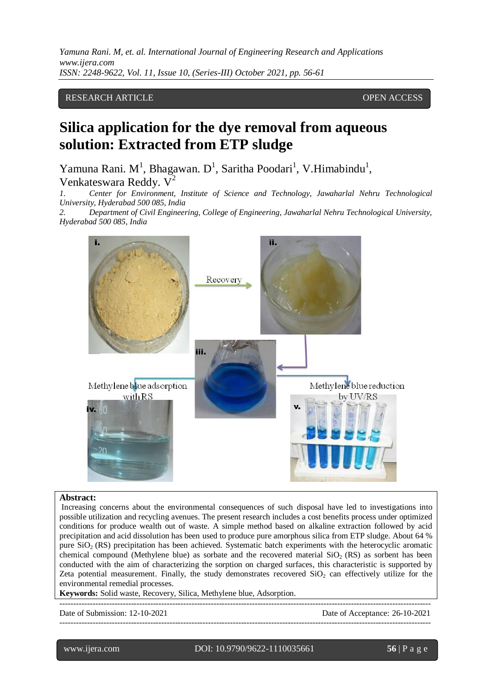# RESEARCH ARTICLE **CONTRACT ARTICLE** AND A SERVICE OPEN ACCESS

# **Silica application for the dye removal from aqueous solution: Extracted from ETP sludge**

Yamuna Rani. M<sup>1</sup>, Bhagawan. D<sup>1</sup>, Saritha Poodari<sup>1</sup>, V.Himabindu<sup>1</sup>, Venkateswara Reddy.  $V^2$ 

*1. Center for Environment, Institute of Science and Technology, Jawaharlal Nehru Technological University, Hyderabad 500 085, India*

*2. Department of Civil Engineering, College of Engineering, Jawaharlal Nehru Technological University, Hyderabad 500 085, India*



#### **Abstract:**

Increasing concerns about the environmental consequences of such disposal have led to investigations into possible utilization and recycling avenues. The present research includes a cost benefits process under optimized conditions for produce wealth out of waste. A simple method based on alkaline extraction followed by acid precipitation and acid dissolution has been used to produce pure amorphous silica from ETP sludge. About 64 % pure  $SiO<sub>2</sub> (RS)$  precipitation has been achieved. Systematic batch experiments with the heterocyclic aromatic chemical compound (Methylene blue) as sorbate and the recovered material  $SiO<sub>2</sub> (RS)$  as sorbent has been conducted with the aim of characterizing the sorption on charged surfaces, this characteristic is supported by Zeta potential measurement. Finally, the study demonstrates recovered  $SiO<sub>2</sub>$  can effectively utilize for the environmental remedial processes.

**Keywords:** Solid waste, Recovery, Silica, Methylene blue, Adsorption.

Date of Submission: 12-10-2021 Date of Acceptance: 26-10-2021

---------------------------------------------------------------------------------------------------------------------------------------

l

www.ijera.com DOI: 10.9790/9622-1110035661 **56** | P a g e

---------------------------------------------------------------------------------------------------------------------------------------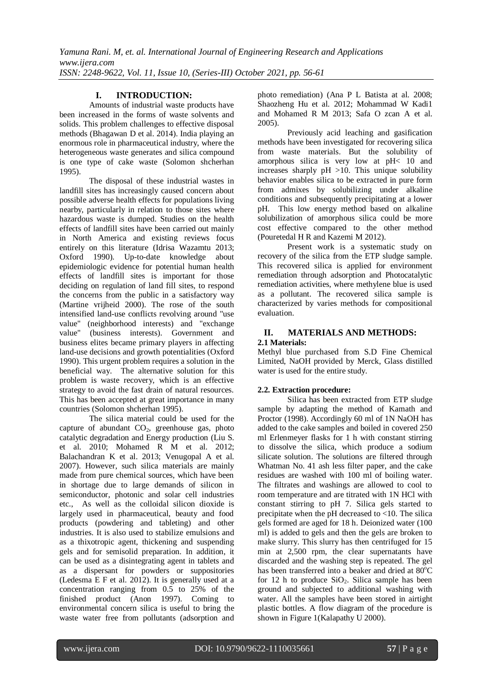## **I. INTRODUCTION:**

Amounts of industrial waste products have been increased in the forms of waste solvents and solids. This problem challenges to effective disposal methods (Bhagawan D et al. 2014). India playing an enormous role in pharmaceutical industry, where the heterogeneous waste generates and silica compound is one type of cake waste (Solomon shcherhan 1995).

The disposal of these industrial wastes in landfill sites has increasingly caused concern about possible adverse health effects for populations living nearby, particularly in relation to those sites where hazardous waste is dumped. Studies on the health effects of landfill sites have been carried out mainly in North America and existing reviews focus entirely on this literature (Idrisa Wazamtu 2013; Oxford 1990). Up-to-date knowledge about epidemiologic evidence for potential human health effects of landfill sites is important for those deciding on regulation of land fill sites, to respond the concerns from the public in a satisfactory way (Martine vrijheid 2000). The rose of the south intensified land-use conflicts revolving around "use value" (neighborhood interests) and "exchange value" (business interests). Government and business elites became primary players in affecting land-use decisions and growth potentialities (Oxford 1990). This urgent problem requires a solution in the beneficial way. The alternative solution for this problem is waste recovery, which is an effective strategy to avoid the fast drain of natural resources. This has been accepted at great importance in many countries (Solomon shcherhan 1995).

The silica material could be used for the capture of abundant  $CO<sub>2</sub>$ , greenhouse gas, photo catalytic degradation and Energy production (Liu S. et al. 2010; Mohamed R M et al. 2012; Balachandran K et al. 2013; Venugopal A et al. 2007). However, such silica materials are mainly made from pure chemical sources, which have been in shortage due to large demands of silicon in semiconductor, photonic and solar cell industries etc., As well as the colloidal silicon dioxide is largely used in pharmaceutical, beauty and food products (powdering and tableting) and other industries. It is also used to stabilize emulsions and as a thixotropic agent, thickening and suspending gels and for semisolid preparation. In addition, it can be used as a disintegrating agent in tablets and as a dispersant for powders or suppositories (Ledesma E F et al. 2012). It is generally used at a concentration ranging from 0.5 to 25% of the finished product (Anon 1997). Coming to environmental concern silica is useful to bring the waste water free from pollutants (adsorption and photo remediation) (Ana P L Batista at al. 2008; Shaozheng Hu et al. 2012; Mohammad W Kadi1 and Mohamed R M 2013; Safa O zcan A et al. 2005).

Previously acid leaching and gasification methods have been investigated for recovering silica from waste materials. But the solubility of amorphous silica is very low at pH< 10 and increases sharply pH >10. This unique solubility behavior enables silica to be extracted in pure form from admixes by solubilizing under alkaline conditions and subsequently precipitating at a lower pH. This low energy method based on alkaline solubilization of amorphous silica could be more cost effective compared to the other method (Pouretedal H R and Kazemi M 2012).

Present work is a systematic study on recovery of the silica from the ETP sludge sample. This recovered silica is applied for environment remediation through adsorption and Photocatalytic remediation activities, where methylene blue is used as a pollutant. The recovered silica sample is characterized by varies methods for compositional evaluation.

#### **II. MATERIALS AND METHODS: 2.1 Materials:**

Methyl blue purchased from S.D Fine Chemical Limited, NaOH provided by Merck, Glass distilled water is used for the entire study.

## **2.2. Extraction procedure:**

Silica has been extracted from ETP sludge sample by adapting the method of Kamath and Proctor (1998). Accordingly 60 ml of 1N NaOH has added to the cake samples and boiled in covered 250 ml Erlenmeyer flasks for 1 h with constant stirring to dissolve the silica, which produce a sodium silicate solution. The solutions are filtered through Whatman No. 41 ash less filter paper, and the cake residues are washed with 100 ml of boiling water. The filtrates and washings are allowed to cool to room temperature and are titrated with 1N HCl with constant stirring to pH 7. Silica gels started to precipitate when the pH decreased to <10. The silica gels formed are aged for 18 h. Deionized water (100 ml) is added to gels and then the gels are broken to make slurry. This slurry has then centrifuged for 15 min at 2,500 rpm, the clear supernatants have discarded and the washing step is repeated. The gel has been transferred into a beaker and dried at  $80^{\circ}$ C for 12 h to produce  $SiO<sub>2</sub>$ . Silica sample has been ground and subjected to additional washing with water. All the samples have been stored in airtight plastic bottles. A flow diagram of the procedure is shown in Figure 1(Kalapathy U 2000).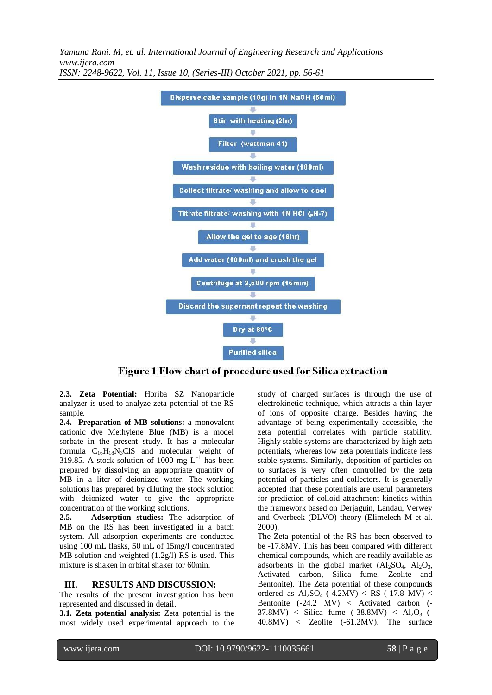

Figure 1 Flow chart of procedure used for Silica extraction

**2.3. Zeta Potential:** Horiba SZ Nanoparticle analyzer is used to analyze zeta potential of the RS sample.

**2.4. Preparation of MB solutions:** a monovalent cationic dye Methylene Blue (MB) is a model sorbate in the present study. It has a molecular formula  $C_{16}H_{18}N_3CIS$  and molecular weight of 319.85. A stock solution of 1000 mg  $L^{-1}$  has been prepared by dissolving an appropriate quantity of MB in a liter of deionized water. The working solutions has prepared by diluting the stock solution with deionized water to give the appropriate concentration of the working solutions.

**2.5. Adsorption studies:** The adsorption of MB on the RS has been investigated in a batch system. All adsorption experiments are conducted using 100 mL flasks, 50 mL of 15mg/l concentrated MB solution and weighted (1.2g/l) RS is used. This mixture is shaken in orbital shaker for 60min.

#### **III. RESULTS AND DISCUSSION:**

The results of the present investigation has been represented and discussed in detail.

**3.1. Zeta potential analysis:** Zeta potential is the most widely used experimental approach to the

study of charged surfaces is through the use of electrokinetic technique, which attracts a thin layer of ions of opposite charge. Besides having the advantage of being experimentally accessible, the zeta potential correlates with particle stability. Highly stable systems are characterized by high zeta potentials, whereas low zeta potentials indicate less stable systems. Similarly, deposition of particles on to surfaces is very often controlled by the zeta potential of particles and collectors. It is generally accepted that these potentials are useful parameters for prediction of colloid attachment kinetics within the framework based on Derjaguin, Landau, Verwey and Overbeek (DLVO) theory (Elimelech M et al. 2000).

The Zeta potential of the RS has been observed to be -17.8MV. This has been compared with different chemical compounds, which are readily available as adsorbents in the global market  $(Al_2SO_4, Al_2O_3,$ Activated carbon, Silica fume, Zeolite and Bentonite). The Zeta potential of these compounds ordered as  $Al_2SO_4$  (-4.2MV) < RS (-17.8 MV) < Bentonite (-24.2 MV) < Activated carbon (-  $37.8MV$ ) < Silica fume  $(-38.8MV)$  < Al<sub>2</sub>O<sub>3</sub> (-40.8MV) < Zeolite (-61.2MV). The surface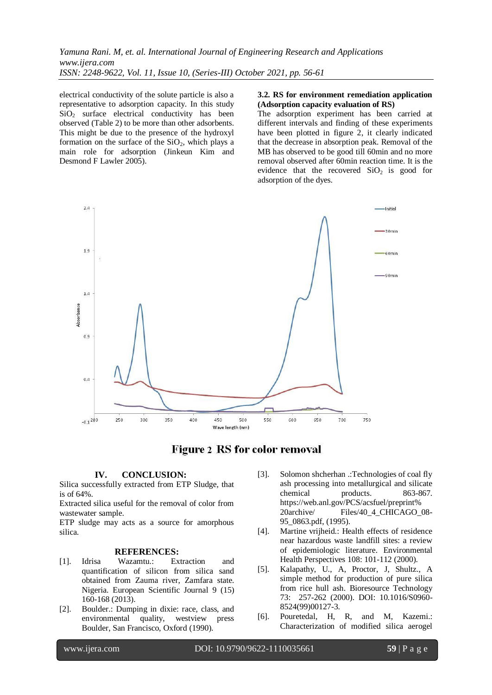electrical conductivity of the solute particle is also a representative to adsorption capacity. In this study  $SiO<sub>2</sub>$  surface electrical conductivity has been observed (Table 2) to be more than other adsorbents. This might be due to the presence of the hydroxyl formation on the surface of the  $SiO<sub>2</sub>$ , which plays a main role for adsorption (Jinkeun Kim and Desmond F Lawler 2005).

#### **3.2. RS for environment remediation application (Adsorption capacity evaluation of RS)**

The adsorption experiment has been carried at different intervals and finding of these experiments have been plotted in figure 2, it clearly indicated that the decrease in absorption peak. Removal of the MB has observed to be good till 60min and no more removal observed after 60min reaction time. It is the evidence that the recovered  $SiO<sub>2</sub>$  is good for adsorption of the dyes.





## **IV. CONCLUSION:**

Silica successfully extracted from ETP Sludge, that is of 64%.

Extracted silica useful for the removal of color from wastewater sample.

ETP sludge may acts as a source for amorphous silica.

#### **REFERENCES:**

- [1]. Idrisa Wazamtu.: Extraction and quantification of silicon from silica sand obtained from Zauma river, Zamfara state. Nigeria. European Scientific Journal 9 (15) 160-168 (2013).
- [2]. Boulder.: Dumping in dixie: race, class, and environmental quality, westview press Boulder, San Francisco, Oxford (1990).
- [3]. Solomon shcherhan .:Technologies of coal fly ash processing into metallurgical and silicate chemical products. 863-867. https://web.anl.gov/PCS/acsfuel/preprint% 20archive/ Files/40\_4\_CHICAGO\_08-95\_0863.pdf, (1995).
- [4]. Martine vrijheid.: Health effects of residence near hazardous waste landfill sites: a review of epidemiologic literature. Environmental Health Perspectives 108: 101-112 (2000).
- [5]. Kalapathy, U., A, Proctor, J, Shultz., A simple method for production of pure silica from rice hull ash. Bioresource Technology 73: 257-262 (2000). DOI: 10.1016/S0960- 8524(99)00127-3.
- [6]. Pouretedal, H, R, and M, Kazemi.: Characterization of modified silica aerogel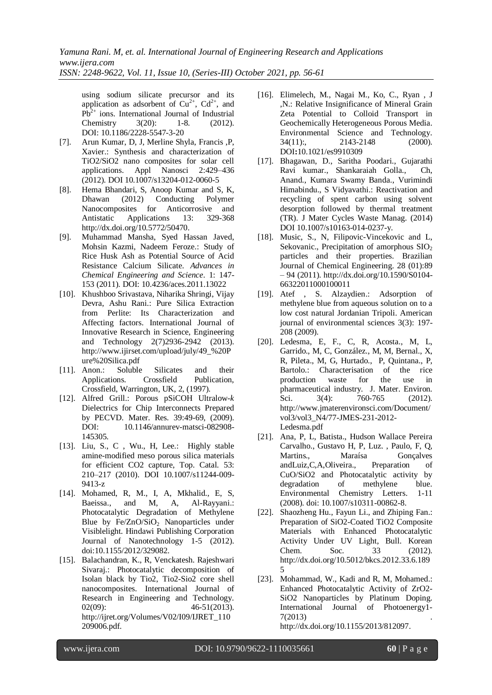using sodium silicate precursor and its application as adsorbent of  $Cu^{2+}$ ,  $Cd^{2+}$ , and  $Pb^{2+}$  ions. International Journal of Industrial Chemistry 3(20): 1-8. (2012). DOI: 10.1186/2228-5547-3-20

- [7]. Arun Kumar, D, J, Merline Shyla, Francis ,P, Xavier.: Synthesis and characterization of TiO2/SiO2 nano composites for solar cell applications. Appl Nanosci 2:429–436 (2012). DOI 10.1007/s13204-012-0060-5
- [8]. Hema Bhandari, S, Anoop Kumar and S, K, Dhawan (2012) Conducting Polymer Nanocomposites for Anticorrosive and Antistatic Applications 13: 329-368 [http://dx.doi.org/10.5772/50470.](http://dx.doi.org/10.5772/50470)
- [9]. Muhammad Mansha, Syed Hassan Javed, Mohsin Kazmi, Nadeem Feroze.: Study of Rice Husk Ash as Potential Source of Acid Resistance Calcium Silicate. *Advances in Chemical Engineering and Science*. 1: 147- 153 (2011). DOI: [10.4236/aces.2011.13022](http://dx.doi.org/10.4236/aces.2011.13022)
- [10]. Khushboo Srivastava, Niharika Shringi, Vijay Devra, Ashu Rani.: Pure Silica Extraction from Perlite: Its Characterization and Affecting factors. International Journal of Innovative Research in Science, Engineering and Technology 2(7)2936-2942 (2013). http://www.ijirset.com/upload/july/49\_%20P ure%20Silica.pdf
- [11]. Anon.: Soluble Silicates and their Applications. Crossfield Publication, Crossfield, Warrington, UK, 2, (1997).
- [12]. Alfred Grill.: Porous pSiCOH Ultralow-*k* Dielectrics for Chip Interconnects Prepared by PECVD. Mater. Res. 39:49-69, (2009). DOI: 10.1146/annurev-matsci-082908- 145305.
- [13]. Liu, S., C , Wu., H, Lee.: Highly stable amine-modified meso porous silica materials for efficient CO2 capture, Top. Catal. 53: 210–217 (2010). DOI 10.1007/s11244-009- 9413-z
- [14]. Mohamed, R, M., I, A, Mkhalid., E, S, Baeissa., and M, A, Al-Rayyani.: Photocatalytic Degradation of Methylene Blue by  $Fe/ZnO/SiO<sub>2</sub>$  Nanoparticles under Visiblelight. Hindawi Publishing Corporation Journal of Nanotechnology 1-5 (2012). doi:10.1155/2012/329082.
- [15]. Balachandran, K., R, Venckatesh. Rajeshwari Sivaraj.: Photocatalytic decomposition of Isolan black by Tio2, Tio2-Sio2 core shell nanocomposites. International Journal of Research in Engineering and Technology.  $02(09)$ :  $46-51(2013)$ . http://ijret.org/Volumes/V02/I09/IJRET\_110 209006.pdf.
- [16]. Elimelech, M., Nagai M., Ko, C., Ryan , J ,N.: Relative Insignificance of Mineral Grain Zeta Potential to Colloid Transport in Geochemically Heterogeneous Porous Media. Environmental Science and Technology. 34(11):, 2143-2148 (2000). DOI**:**10.1021/es9910309
- [17]. Bhagawan, D., Saritha Poodari., Gujarathi Ravi kumar., Shankaraiah Golla., Ch, Anand., Kumara Swamy Banda., Vurimindi Himabindu., S Vidyavathi.: Reactivation and recycling of spent carbon using solvent desorption followed by thermal treatment (TR). J Mater Cycles Waste Manag. (2014) DOI 10.1007/s10163-014-0237-y.
- [18]. Music, S., N, Filipovic-Vincekovic and L, Sekovanic., Precipitation of amorphous  $SIO<sub>2</sub>$ particles and their properties. Brazilian Journal of Chemical Engineering. 28 (01):89 – 94 (2011). [http://dx.doi.org/10.1590/S0104-](http://dx.doi.org/10.1590/S0104-66322011000100011) [66322011000100011](http://dx.doi.org/10.1590/S0104-66322011000100011)
- [19]. Atef , S. Alzaydien.: Adsorption of methylene blue from aqueous solution on to a low cost natural Jordanian Tripoli. American journal of environmental sciences 3(3): 197- 208 (2009).
- [20]. Ledesma, E, F., C, R, Acosta., M, L, Garrido., M, C, González., M, M, Bernal., X, R, Pileta., M, G, Hurtado., P, Quintana., P, Bartolo.: Characterisation of the rice production waste for the use in pharmaceutical industry. J. Mater. Environ. Sci. 3(4): 760-765 (2012). http://www.jmaterenvironsci.com/Document/ vol3/vol3\_N4/77-JMES-231-2012- Ledesma.pdf
- [21]. Ana, P, L, Batista., Hudson Wallace Pereira Carvalho., Gustavo H, P, Luz. , Paulo, F, Q, Martins., Maraísa Gonçalves andLuiz,C,A,Oliveira., Preparation of CuO/SiO2 and Photocatalytic activity by degradation of methylene blue. Environmental Chemistry Letters. 1-11 (2008). doi: 10.1007/s10311-00862-8.
- [22]. Shaozheng Hu., Fayun Li., and Zhiping Fan.: Preparation of SiO2-Coated TiO2 Composite Materials with Enhanced Photocatalytic Activity Under UV Light, Bull. Korean Chem. Soc. 33 (2012). http://dx.doi.org/10.5012/bkcs.2012.33.6.189 5
- [23]. Mohammad, W., Kadi and R, M, Mohamed.: Enhanced Photocatalytic Activity of ZrO2- SiO2 Nanoparticles by Platinum Doping. International Journal of Photoenergy1-  $7(2013)$

[http://dx.doi.org/10.1155/2013/812097.](http://dx.doi.org/10.1155/2013/812097)